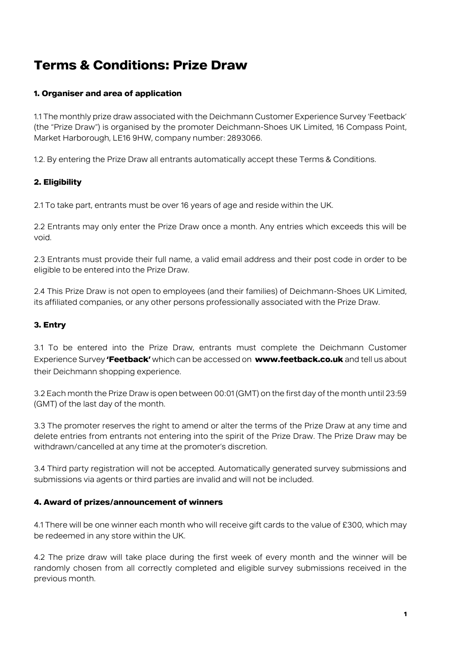# **Terms & Conditions: Prize Draw**

## **1. Organiser and area of application**

1.1 The monthly prize draw associated with the Deichmann Customer Experience Survey 'Feetback' (the "Prize Draw") is organised by the promoter Deichmann-Shoes UK Limited, 16 Compass Point, Market Harborough, LE16 9HW, company number: 2893066.

1.2. By entering the Prize Draw all entrants automatically accept these Terms & Conditions.

## **2. Eligibility**

2.1 To take part, entrants must be over 16 years of age and reside within the UK.

2.2 Entrants may only enter the Prize Draw once a month. Any entries which exceeds this will be void.

2.3 Entrants must provide their full name, a valid email address and their post code in order to be eligible to be entered into the Prize Draw.

2.4 This Prize Draw is not open to employees (and their families) of Deichmann-Shoes UK Limited, its affiliated companies, or any other persons professionally associated with the Prize Draw.

## **3. Entry**

3.1 To be entered into the Prize Draw, entrants must complete the Deichmann Customer Experience Survey **'Feetback'** which can be accessed on **[www.feetback.co.uk](http://www.feetback.co.uk/)** and tell us about their Deichmann shopping experience.

3.2 Each month the Prize Draw is open between 00:01 (GMT) on the first day of the month until 23:59 (GMT) of the last day of the month.

3.3 The promoter reserves the right to amend or alter the terms of the Prize Draw at any time and delete entries from entrants not entering into the spirit of the Prize Draw. The Prize Draw may be withdrawn/cancelled at any time at the promoter's discretion.

3.4 Third party registration will not be accepted. Automatically generated survey submissions and submissions via agents or third parties are invalid and will not be included.

## **4. Award of prizes/announcement of winners**

4.1 There will be one winner each month who will receive gift cards to the value of £300, which may be redeemed in any store within the UK.

4.2 The prize draw will take place during the first week of every month and the winner will be randomly chosen from all correctly completed and eligible survey submissions received in the previous month.